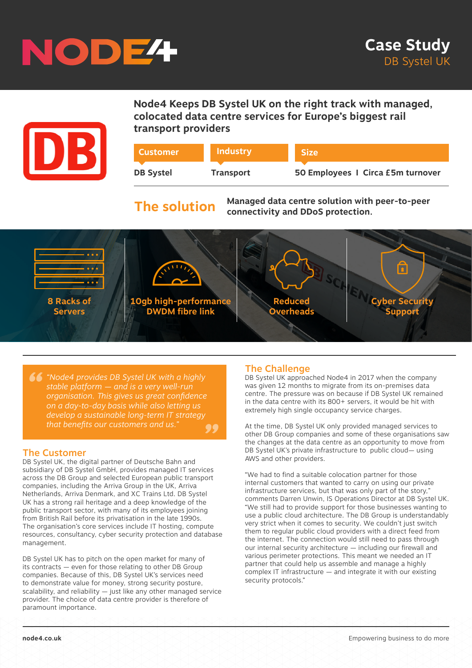



**Node4 Keeps DB Systel UK on the right track with managed, colocated data centre services for Europe's biggest rail transport providers**

| <b>Customer</b>  | Industry         | <b>Size</b>                       |
|------------------|------------------|-----------------------------------|
| <b>DB Systel</b> | <b>Transport</b> | 50 Employees 1 Circa £5m turnover |
|                  |                  |                                   |

# **The solution**

**Managed data centre solution with peer-to-peer connectivity and DDoS protection.**



*" "Node4 provides DB Systel UK with a highly*  .<br>?? *stable platform — and is a very well-run organisation. This gives us great confidence on a day-to-day basis while also letting us develop a sustainable long-term IT strategy that benefits our customers and us."*

### The Customer

DB Systel UK, the digital partner of Deutsche Bahn and subsidiary of DB Systel GmbH, provides managed IT services across the DB Group and selected European public transport companies, including the Arriva Group in the UK, Arriva Netherlands, Arriva Denmark, and XC Trains Ltd. DB Systel UK has a strong rail heritage and a deep knowledge of the public transport sector, with many of its employees joining from British Rail before its privatisation in the late 1990s. The organisation's core services include IT hosting, compute resources, consultancy, cyber security protection and database management.

DB Systel UK has to pitch on the open market for many of its contracts — even for those relating to other DB Group companies. Because of this, DB Systel UK's services need to demonstrate value for money, strong security posture, scalability, and reliability — just like any other managed service provider. The choice of data centre provider is therefore of paramount importance.

### The Challenge

DB Systel UK approached Node4 in 2017 when the company was given 12 months to migrate from its on-premises data centre. The pressure was on because if DB Systel UK remained in the data centre with its 800+ servers, it would be hit with extremely high single occupancy service charges.

At the time, DB Systel UK only provided managed services to other DB Group companies and some of these organisations saw the changes at the data centre as an opportunity to move from DB Systel UK's private infrastructure to public cloud— using AWS and other providers.

"We had to find a suitable colocation partner for those internal customers that wanted to carry on using our private infrastructure services, but that was only part of the story," comments Darren Unwin, IS Operations Director at DB Systel UK. "We still had to provide support for those businesses wanting to use a public cloud architecture. The DB Group is understandably very strict when it comes to security. We couldn't just switch them to regular public cloud providers with a direct feed from the internet. The connection would still need to pass through our internal security architecture — including our firewall and various perimeter protections. This meant we needed an IT partner that could help us assemble and manage a highly complex IT infrastructure — and integrate it with our existing security protocols."